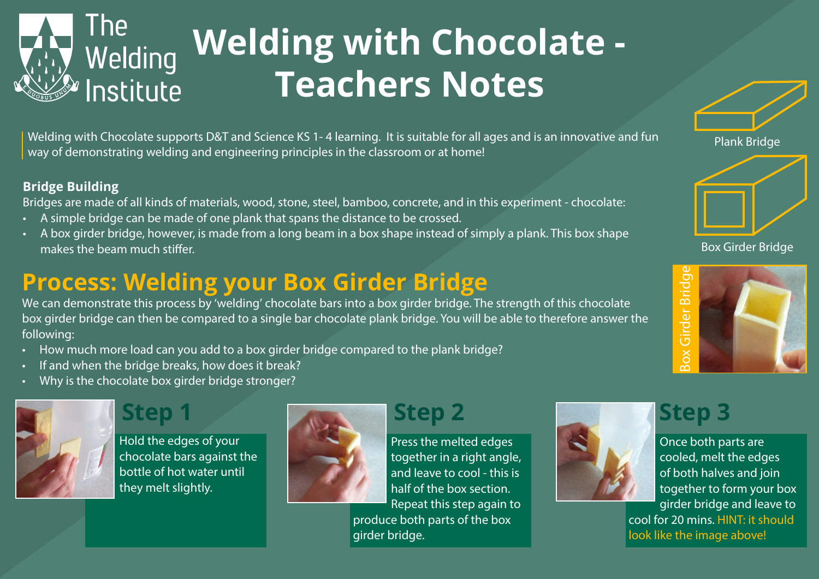

Welding with Chocolate supports D&T and Science KS 1- 4 learning. It is suitable for all ages and is an innovative and fun way of demonstrating welding and engineering principles in the classroom or at home!

#### **Bridge Building**

Bridges are made of all kinds of materials, wood, stone, steel, bamboo, concrete, and in this experiment - chocolate:

- A simple bridge can be made of one plank that spans the distance to be crossed.
- A box girder bridge, however, is made from a long beam in a box shape instead of simply a plank. This box shape makes the beam much stiffer.

## **Process: Welding your Box Girder Bridge**

We can demonstrate this process by 'welding' chocolate bars into a box girder bridge. The strength of this chocolate box girder bridge can then be compared to a single bar chocolate plank bridge. You will be able to therefore answer the following:

- How much more load can you add to a box girder bridge compared to the plank bridge?
- If and when the bridge breaks, how does it break?
- Why is the chocolate box girder bridge stronger?



Hold the edges of your chocolate bars against the bottle of hot water until they melt slightly.



Press the melted edges together in a right angle, and leave to cool - this is half of the box section. Repeat this step again to produce both parts of the box girder bridge.



Once both parts are cooled, melt the edges of both halves and join together to form your box girder bridge and leave to

cool for 20 mins. HINT: it should look like the image above!







Box Girder Bridge